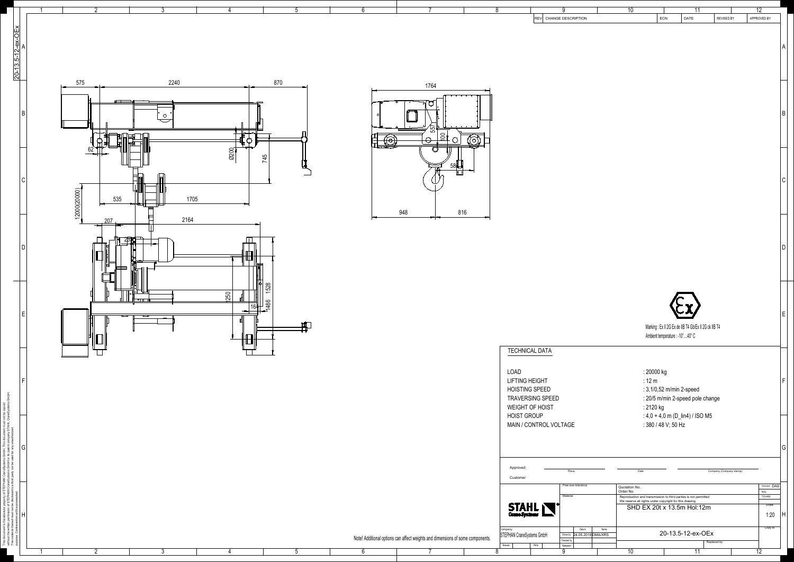

| $\overline{7}$                       |              | 8                                            | 9<br><b>REV</b>        | CHANGE DESCRIPTION                      |      | $\overline{10}$            | $\mathsf{ECN}\xspace$           | $\overline{11}$<br>DATE                                                                                                   | REVISED BY              | $\overline{12}$<br>APPROVED BY |              |
|--------------------------------------|--------------|----------------------------------------------|------------------------|-----------------------------------------|------|----------------------------|---------------------------------|---------------------------------------------------------------------------------------------------------------------------|-------------------------|--------------------------------|--------------|
|                                      |              |                                              |                        |                                         |      |                            |                                 |                                                                                                                           |                         |                                |              |
|                                      |              |                                              |                        |                                         |      |                            |                                 |                                                                                                                           |                         |                                |              |
|                                      |              |                                              |                        |                                         |      |                            |                                 |                                                                                                                           |                         |                                | A            |
|                                      |              |                                              |                        |                                         |      |                            |                                 |                                                                                                                           |                         |                                |              |
|                                      |              |                                              |                        |                                         |      |                            |                                 |                                                                                                                           |                         |                                |              |
|                                      |              |                                              |                        |                                         |      |                            |                                 |                                                                                                                           |                         |                                |              |
| 1764                                 |              |                                              |                        |                                         |      |                            |                                 |                                                                                                                           |                         |                                |              |
|                                      |              |                                              |                        |                                         |      |                            |                                 |                                                                                                                           |                         |                                |              |
|                                      |              |                                              |                        |                                         |      |                            |                                 |                                                                                                                           |                         |                                | $\sf B$      |
|                                      |              |                                              |                        |                                         |      |                            |                                 |                                                                                                                           |                         |                                |              |
| $\overline{55}$<br>100               |              |                                              |                        |                                         |      |                            |                                 |                                                                                                                           |                         |                                |              |
|                                      | $\bigcirc$   |                                              |                        |                                         |      |                            |                                 |                                                                                                                           |                         |                                |              |
|                                      |              |                                              |                        |                                         |      |                            |                                 |                                                                                                                           |                         |                                |              |
| 580                                  |              |                                              |                        |                                         |      |                            |                                 |                                                                                                                           |                         |                                |              |
|                                      |              |                                              |                        |                                         |      |                            |                                 |                                                                                                                           |                         |                                | $\mathsf C$  |
|                                      |              |                                              |                        |                                         |      |                            |                                 |                                                                                                                           |                         |                                |              |
|                                      |              |                                              |                        |                                         |      |                            |                                 |                                                                                                                           |                         |                                |              |
| 816                                  |              |                                              |                        |                                         |      |                            |                                 |                                                                                                                           |                         |                                |              |
|                                      |              |                                              |                        |                                         |      |                            |                                 |                                                                                                                           |                         |                                |              |
|                                      |              |                                              |                        |                                         |      |                            |                                 |                                                                                                                           |                         |                                |              |
|                                      |              |                                              |                        |                                         |      |                            |                                 |                                                                                                                           |                         |                                | D            |
|                                      |              |                                              |                        |                                         |      |                            |                                 |                                                                                                                           |                         |                                |              |
|                                      |              |                                              |                        |                                         |      |                            |                                 |                                                                                                                           |                         |                                |              |
|                                      |              |                                              |                        |                                         |      |                            |                                 |                                                                                                                           |                         |                                |              |
|                                      |              |                                              |                        |                                         |      |                            |                                 |                                                                                                                           |                         |                                |              |
|                                      |              |                                              |                        |                                         |      |                            |                                 |                                                                                                                           |                         |                                |              |
|                                      |              |                                              |                        |                                         |      |                            |                                 |                                                                                                                           |                         |                                | E            |
|                                      |              |                                              |                        |                                         |      |                            |                                 | Marking: Ex II 2G Ex de IIB T4 Gb/Ex II 2G ck IIB T4                                                                      |                         |                                |              |
|                                      |              |                                              |                        |                                         |      |                            | Ambient temperature : -10°40° C |                                                                                                                           |                         |                                |              |
|                                      |              |                                              |                        |                                         |      |                            |                                 |                                                                                                                           |                         |                                |              |
|                                      |              | <b>TECHNICAL DATA</b>                        |                        |                                         |      |                            |                                 |                                                                                                                           |                         |                                |              |
|                                      |              |                                              |                        |                                         |      |                            |                                 |                                                                                                                           |                         |                                |              |
|                                      |              | <b>LOAD</b><br><b>LIFTING HEIGHT</b>         |                        |                                         |      |                            | : 20000 kg<br>$: 12 \text{ m}$  |                                                                                                                           |                         |                                | $\mathsf F$  |
|                                      |              | <b>HOISTING SPEED</b>                        |                        |                                         |      |                            | : 3,1/0,52 m/min 2-speed        |                                                                                                                           |                         |                                |              |
|                                      |              | <b>TRAVERSING SPEED</b>                      |                        |                                         |      |                            |                                 | : 20/5 m/min 2-speed pole change                                                                                          |                         |                                |              |
|                                      |              | <b>WEIGHT OF HOIST</b><br><b>HOIST GROUP</b> |                        |                                         |      |                            | : 2120 kg                       |                                                                                                                           |                         |                                |              |
|                                      |              |                                              | MAIN / CONTROL VOLTAGE |                                         |      |                            | : 380 / 48 V; 50 Hz             | : $4,0 + 4,0$ m (D_lin4) / ISO M5                                                                                         |                         |                                |              |
|                                      |              |                                              |                        |                                         |      |                            |                                 |                                                                                                                           |                         |                                |              |
|                                      |              |                                              |                        |                                         |      |                            |                                 |                                                                                                                           |                         |                                | G            |
|                                      |              |                                              |                        |                                         |      |                            |                                 |                                                                                                                           |                         |                                |              |
|                                      |              | Approved:                                    |                        | Place                                   |      | Date                       |                                 |                                                                                                                           | Company (Company stamp) |                                |              |
|                                      |              | Customer                                     |                        |                                         |      |                            |                                 |                                                                                                                           |                         |                                |              |
|                                      |              |                                              |                        | Free size tolerance                     |      | Quotation No.<br>Order No. |                                 |                                                                                                                           |                         | Version DAS<br><b>NSL</b>      |              |
|                                      |              |                                              |                        | Material                                |      |                            |                                 | Reproduction and transmission to third parties is not permitted<br>We reserve all rights under copyright for this drawing |                         | <b>TCHAR</b>                   |              |
|                                      |              | STAHL                                        |                        |                                         |      |                            |                                 | SHD EX 20t x 13.5m Hol:12m                                                                                                |                         | Scale<br>1:20                  | $\mathsf{H}$ |
|                                      |              |                                              |                        |                                         |      |                            |                                 |                                                                                                                           |                         |                                |              |
|                                      |              | Company:<br>STEPHAN CraneSystems GmbH        |                        | Datum<br>24.05.2019 DMA/XRS<br>Drown by | Name |                            |                                 | 20-13.5-12-ex-OEx                                                                                                         |                         | Copy to                        |              |
| s and dimensions of some components. |              | Issue                                        | N/a                    | Checked by<br>Released                  |      |                            |                                 |                                                                                                                           | Replaced by             |                                |              |
| 7                                    | $\mathbf{Q}$ |                                              | $\Omega$               |                                         |      | $\overline{10}$            |                                 | $\overline{11}$                                                                                                           |                         | $\overline{12}$                |              |